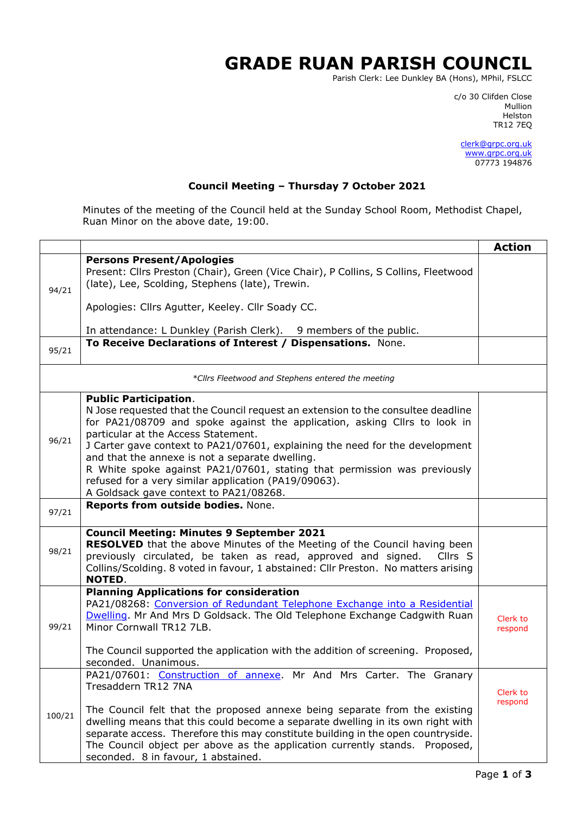## **GRADE RUAN PARISH COUNCIL**

Parish Clerk: Lee Dunkley BA (Hons), MPhil, FSLCC

c/o 30 Clifden Close man and the control of the control of the control of the control of the control of the control of the control o Helston TR12 7EQ

> [clerk@grpc.org.uk](mailto:clerk@grpc.org.uk) [www.grpc.org.uk](http://www.grpc.org.uk/) 07773 194876

## **Council Meeting – Thursday 7 October 2021**

Minutes of the meeting of the Council held at the Sunday School Room, Methodist Chapel, Ruan Minor on the above date, 19:00.

|        |                                                                                                                                                                                                                                                                                                                                                                                                                                                                                                                                                       | <b>Action</b>       |
|--------|-------------------------------------------------------------------------------------------------------------------------------------------------------------------------------------------------------------------------------------------------------------------------------------------------------------------------------------------------------------------------------------------------------------------------------------------------------------------------------------------------------------------------------------------------------|---------------------|
| 94/21  | <b>Persons Present/Apologies</b><br>Present: Cllrs Preston (Chair), Green (Vice Chair), P Collins, S Collins, Fleetwood<br>(late), Lee, Scolding, Stephens (late), Trewin.                                                                                                                                                                                                                                                                                                                                                                            |                     |
|        | Apologies: Cllrs Agutter, Keeley. Cllr Soady CC.                                                                                                                                                                                                                                                                                                                                                                                                                                                                                                      |                     |
|        | In attendance: L Dunkley (Parish Clerk). 9 members of the public.                                                                                                                                                                                                                                                                                                                                                                                                                                                                                     |                     |
| 95/21  | To Receive Declarations of Interest / Dispensations. None.                                                                                                                                                                                                                                                                                                                                                                                                                                                                                            |                     |
|        | *Cllrs Fleetwood and Stephens entered the meeting                                                                                                                                                                                                                                                                                                                                                                                                                                                                                                     |                     |
| 96/21  | <b>Public Participation.</b><br>N Jose requested that the Council request an extension to the consultee deadline<br>for PA21/08709 and spoke against the application, asking Cllrs to look in<br>particular at the Access Statement.<br>J Carter gave context to PA21/07601, explaining the need for the development<br>and that the annexe is not a separate dwelling.<br>R White spoke against PA21/07601, stating that permission was previously<br>refused for a very similar application (PA19/09063).<br>A Goldsack gave context to PA21/08268. |                     |
| 97/21  | Reports from outside bodies. None.                                                                                                                                                                                                                                                                                                                                                                                                                                                                                                                    |                     |
| 98/21  | <b>Council Meeting: Minutes 9 September 2021</b><br><b>RESOLVED</b> that the above Minutes of the Meeting of the Council having been<br>previously circulated, be taken as read, approved and signed.<br>Cllrs S<br>Collins/Scolding. 8 voted in favour, 1 abstained: Cllr Preston. No matters arising<br><b>NOTED.</b>                                                                                                                                                                                                                               |                     |
| 99/21  | <b>Planning Applications for consideration</b><br>PA21/08268: Conversion of Redundant Telephone Exchange into a Residential<br>Dwelling. Mr And Mrs D Goldsack. The Old Telephone Exchange Cadgwith Ruan<br>Minor Cornwall TR12 7LB.<br>The Council supported the application with the addition of screening. Proposed,<br>seconded. Unanimous.                                                                                                                                                                                                       | Clerk to<br>respond |
| 100/21 | PA21/07601: Construction of annexe. Mr And Mrs Carter. The Granary<br>Tresaddern TR12 7NA<br>The Council felt that the proposed annexe being separate from the existing<br>dwelling means that this could become a separate dwelling in its own right with<br>separate access. Therefore this may constitute building in the open countryside.<br>The Council object per above as the application currently stands. Proposed,<br>seconded. 8 in favour, 1 abstained.                                                                                  | Clerk to<br>respond |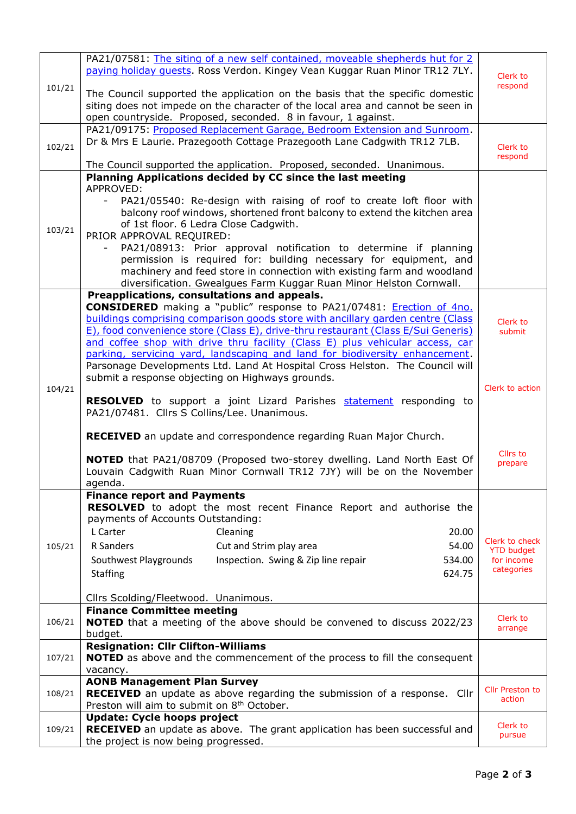|        | PA21/07581: The siting of a new self contained, moveable shepherds hut for 2<br>paying holiday quests. Ross Verdon. Kingey Vean Kuggar Ruan Minor TR12 7LY. | Clerk to                        |
|--------|-------------------------------------------------------------------------------------------------------------------------------------------------------------|---------------------------------|
| 101/21 | The Council supported the application on the basis that the specific domestic                                                                               | respond                         |
|        | siting does not impede on the character of the local area and cannot be seen in                                                                             |                                 |
|        | open countryside. Proposed, seconded. 8 in favour, 1 against.                                                                                               |                                 |
|        | PA21/09175: Proposed Replacement Garage, Bedroom Extension and Sunroom.                                                                                     |                                 |
| 102/21 | Dr & Mrs E Laurie. Prazegooth Cottage Prazegooth Lane Cadgwith TR12 7LB.                                                                                    | Clerk to                        |
|        |                                                                                                                                                             | respond                         |
|        | The Council supported the application. Proposed, seconded. Unanimous.                                                                                       |                                 |
|        | Planning Applications decided by CC since the last meeting<br>APPROVED:                                                                                     |                                 |
|        | PA21/05540: Re-design with raising of roof to create loft floor with                                                                                        |                                 |
|        | balcony roof windows, shortened front balcony to extend the kitchen area                                                                                    |                                 |
|        | of 1st floor. 6 Ledra Close Cadgwith.                                                                                                                       |                                 |
| 103/21 | PRIOR APPROVAL REQUIRED:                                                                                                                                    |                                 |
|        | PA21/08913: Prior approval notification to determine if planning                                                                                            |                                 |
|        | permission is required for: building necessary for equipment, and                                                                                           |                                 |
|        | machinery and feed store in connection with existing farm and woodland<br>diversification. Gwealgues Farm Kuggar Ruan Minor Helston Cornwall.               |                                 |
|        | Preapplications, consultations and appeals.                                                                                                                 |                                 |
|        | <b>CONSIDERED</b> making a "public" response to PA21/07481: <i>Erection of 4no.</i>                                                                         |                                 |
|        | buildings comprising comparison goods store with ancillary garden centre (Class)                                                                            | Clerk to                        |
|        | E), food convenience store (Class E), drive-thru restaurant (Class E/Sui Generis)                                                                           | submit                          |
|        | and coffee shop with drive thru facility (Class E) plus vehicular access, car                                                                               |                                 |
|        | parking, servicing yard, landscaping and land for biodiversity enhancement.<br>Parsonage Developments Ltd. Land At Hospital Cross Helston. The Council will |                                 |
|        | submit a response objecting on Highways grounds.                                                                                                            |                                 |
| 104/21 |                                                                                                                                                             | Clerk to action                 |
|        | <b>RESOLVED</b> to support a joint Lizard Parishes <b>statement</b> responding to                                                                           |                                 |
|        | PA21/07481. Cllrs S Collins/Lee. Unanimous.                                                                                                                 |                                 |
|        | <b>RECEIVED</b> an update and correspondence regarding Ruan Major Church.                                                                                   |                                 |
|        |                                                                                                                                                             |                                 |
|        | NOTED that PA21/08709 (Proposed two-storey dwelling. Land North East Of                                                                                     | Cllrs to<br>prepare             |
|        | Louvain Cadgwith Ruan Minor Cornwall TR12 7JY) will be on the November                                                                                      |                                 |
|        | agenda.                                                                                                                                                     |                                 |
|        | <b>Finance report and Payments</b>                                                                                                                          |                                 |
|        | <b>RESOLVED</b> to adopt the most recent Finance Report and authorise the<br>payments of Accounts Outstanding:                                              |                                 |
|        | L Carter<br>20.00<br>Cleaning                                                                                                                               |                                 |
| 105/21 | R Sanders<br>Cut and Strim play area<br>54.00                                                                                                               | Clerk to check                  |
|        | Inspection. Swing & Zip line repair<br>Southwest Playgrounds<br>534.00                                                                                      | <b>YTD budget</b><br>for income |
|        | <b>Staffing</b><br>624.75                                                                                                                                   | categories                      |
|        |                                                                                                                                                             |                                 |
|        | Cllrs Scolding/Fleetwood. Unanimous.                                                                                                                        |                                 |
|        | <b>Finance Committee meeting</b>                                                                                                                            |                                 |
| 106/21 | <b>NOTED</b> that a meeting of the above should be convened to discuss 2022/23                                                                              | Clerk to<br>arrange             |
|        | budget.                                                                                                                                                     |                                 |
| 107/21 | <b>Resignation: Cllr Clifton-Williams</b><br><b>NOTED</b> as above and the commencement of the process to fill the consequent                               |                                 |
|        | vacancy.                                                                                                                                                    |                                 |
|        | <b>AONB Management Plan Survey</b>                                                                                                                          |                                 |
| 108/21 | RECEIVED an update as above regarding the submission of a response. Cllr                                                                                    | Cllr Preston to<br>action       |
|        | Preston will aim to submit on 8 <sup>th</sup> October.                                                                                                      |                                 |
|        | <b>Update: Cycle hoops project</b>                                                                                                                          | Clerk to                        |
| 109/21 | <b>RECEIVED</b> an update as above. The grant application has been successful and                                                                           | pursue                          |
|        | the project is now being progressed.                                                                                                                        |                                 |